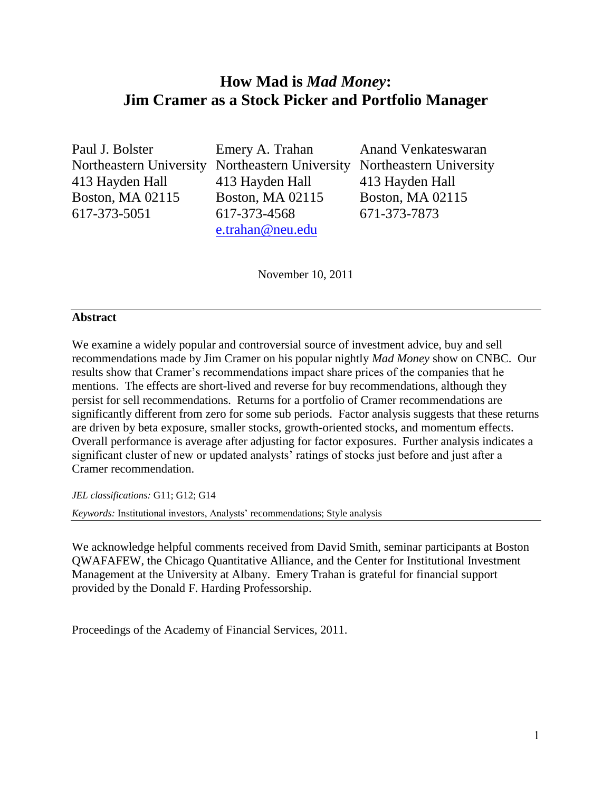# **How Mad is** *Mad Money***: Jim Cramer as a Stock Picker and Portfolio Manager**

Paul J. Bolster Emery A. Trahan Anand Venkateswaran 413 Hayden Hall 413 Hayden Hall 413 Hayden Hall Boston, MA 02115 Boston, MA 02115 Boston, MA 02115 617-373-5051 617-373-4568 671-373-7873

[e.trahan@neu.edu](mailto:e.trahan@neu.edu)

Northeastern University Northeastern University Northeastern University

November 10, 2011

# **Abstract**

We examine a widely popular and controversial source of investment advice, buy and sell recommendations made by Jim Cramer on his popular nightly *Mad Money* show on CNBC. Our results show that Cramer's recommendations impact share prices of the companies that he mentions. The effects are short-lived and reverse for buy recommendations, although they persist for sell recommendations. Returns for a portfolio of Cramer recommendations are significantly different from zero for some sub periods. Factor analysis suggests that these returns are driven by beta exposure, smaller stocks, growth-oriented stocks, and momentum effects. Overall performance is average after adjusting for factor exposures. Further analysis indicates a significant cluster of new or updated analysts' ratings of stocks just before and just after a Cramer recommendation.

*JEL classifications:* G11; G12; G14

*Keywords:* Institutional investors, Analysts' recommendations; Style analysis

We acknowledge helpful comments received from David Smith, seminar participants at Boston QWAFAFEW, the Chicago Quantitative Alliance, and the Center for Institutional Investment Management at the University at Albany. Emery Trahan is grateful for financial support provided by the Donald F. Harding Professorship.

Proceedings of the Academy of Financial Services, 2011.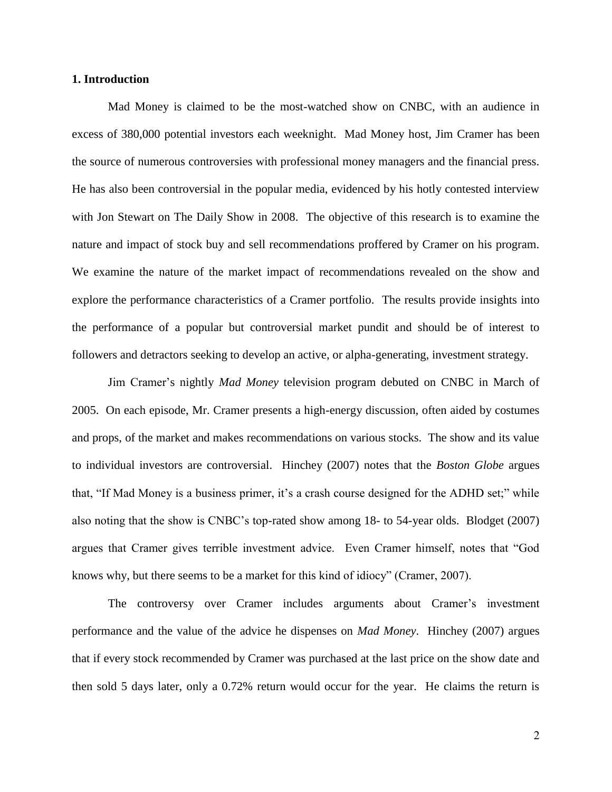### **1. Introduction**

Mad Money is claimed to be the most-watched show on CNBC, with an audience in excess of 380,000 potential investors each weeknight. Mad Money host, Jim Cramer has been the source of numerous controversies with professional money managers and the financial press. He has also been controversial in the popular media, evidenced by his hotly contested interview with Jon Stewart on The Daily Show in 2008. The objective of this research is to examine the nature and impact of stock buy and sell recommendations proffered by Cramer on his program. We examine the nature of the market impact of recommendations revealed on the show and explore the performance characteristics of a Cramer portfolio. The results provide insights into the performance of a popular but controversial market pundit and should be of interest to followers and detractors seeking to develop an active, or alpha-generating, investment strategy.

Jim Cramer's nightly *Mad Money* television program debuted on CNBC in March of 2005. On each episode, Mr. Cramer presents a high-energy discussion, often aided by costumes and props, of the market and makes recommendations on various stocks. The show and its value to individual investors are controversial. Hinchey (2007) notes that the *Boston Globe* argues that, "If Mad Money is a business primer, it's a crash course designed for the ADHD set;" while also noting that the show is CNBC's top-rated show among 18- to 54-year olds. Blodget (2007) argues that Cramer gives terrible investment advice. Even Cramer himself, notes that "God knows why, but there seems to be a market for this kind of idiocy" (Cramer, 2007).

The controversy over Cramer includes arguments about Cramer's investment performance and the value of the advice he dispenses on *Mad Money*. Hinchey (2007) argues that if every stock recommended by Cramer was purchased at the last price on the show date and then sold 5 days later, only a 0.72% return would occur for the year. He claims the return is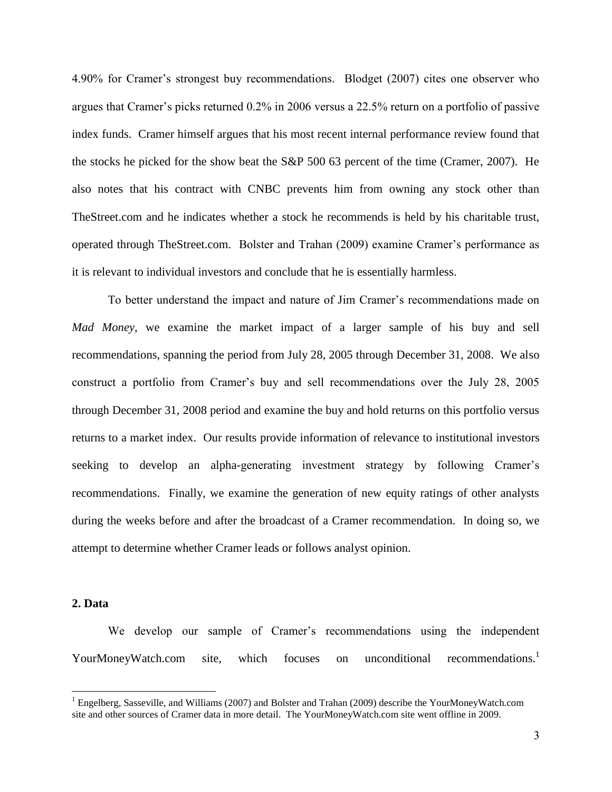4.90% for Cramer's strongest buy recommendations. Blodget (2007) cites one observer who argues that Cramer's picks returned 0.2% in 2006 versus a 22.5% return on a portfolio of passive index funds. Cramer himself argues that his most recent internal performance review found that the stocks he picked for the show beat the S&P 500 63 percent of the time (Cramer, 2007). He also notes that his contract with CNBC prevents him from owning any stock other than TheStreet.com and he indicates whether a stock he recommends is held by his charitable trust, operated through TheStreet.com. Bolster and Trahan (2009) examine Cramer's performance as it is relevant to individual investors and conclude that he is essentially harmless.

To better understand the impact and nature of Jim Cramer's recommendations made on *Mad Money*, we examine the market impact of a larger sample of his buy and sell recommendations, spanning the period from July 28, 2005 through December 31, 2008. We also construct a portfolio from Cramer's buy and sell recommendations over the July 28, 2005 through December 31, 2008 period and examine the buy and hold returns on this portfolio versus returns to a market index. Our results provide information of relevance to institutional investors seeking to develop an alpha-generating investment strategy by following Cramer's recommendations. Finally, we examine the generation of new equity ratings of other analysts during the weeks before and after the broadcast of a Cramer recommendation. In doing so, we attempt to determine whether Cramer leads or follows analyst opinion.

# **2. Data**

 $\overline{a}$ 

We develop our sample of Cramer's recommendations using the independent YourMoneyWatch.com site, which focuses on unconditional recommendations $^1$ 

<sup>&</sup>lt;sup>1</sup> Engelberg, Sasseville, and Williams (2007) and Bolster and Trahan (2009) describe the YourMoneyWatch.com site and other sources of Cramer data in more detail. The YourMoneyWatch.com site went offline in 2009.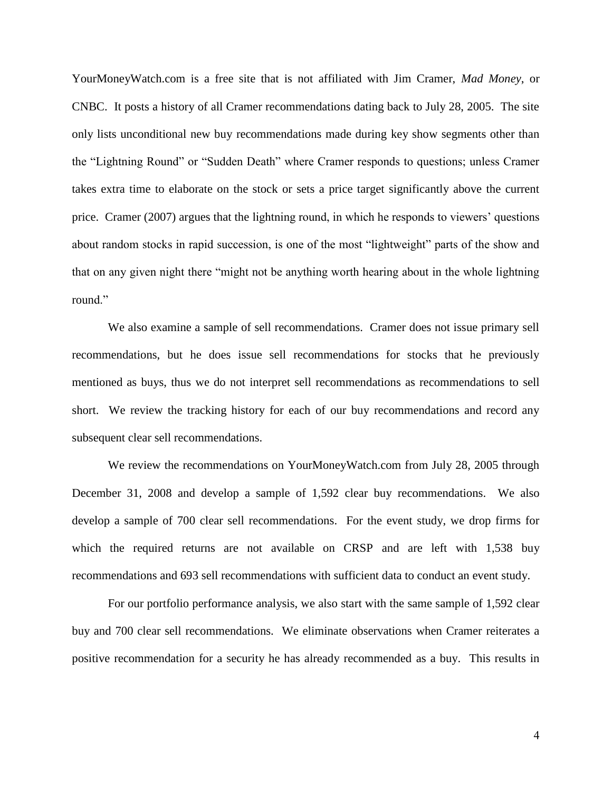YourMoneyWatch.com is a free site that is not affiliated with Jim Cramer, *Mad Money*, or CNBC. It posts a history of all Cramer recommendations dating back to July 28, 2005. The site only lists unconditional new buy recommendations made during key show segments other than the "Lightning Round" or "Sudden Death" where Cramer responds to questions; unless Cramer takes extra time to elaborate on the stock or sets a price target significantly above the current price. Cramer (2007) argues that the lightning round, in which he responds to viewers' questions about random stocks in rapid succession, is one of the most "lightweight" parts of the show and that on any given night there "might not be anything worth hearing about in the whole lightning round<sup>"</sup>

We also examine a sample of sell recommendations. Cramer does not issue primary sell recommendations, but he does issue sell recommendations for stocks that he previously mentioned as buys, thus we do not interpret sell recommendations as recommendations to sell short. We review the tracking history for each of our buy recommendations and record any subsequent clear sell recommendations.

We review the recommendations on YourMoneyWatch.com from July 28, 2005 through December 31, 2008 and develop a sample of 1,592 clear buy recommendations. We also develop a sample of 700 clear sell recommendations. For the event study, we drop firms for which the required returns are not available on CRSP and are left with 1,538 buy recommendations and 693 sell recommendations with sufficient data to conduct an event study.

For our portfolio performance analysis, we also start with the same sample of 1,592 clear buy and 700 clear sell recommendations. We eliminate observations when Cramer reiterates a positive recommendation for a security he has already recommended as a buy. This results in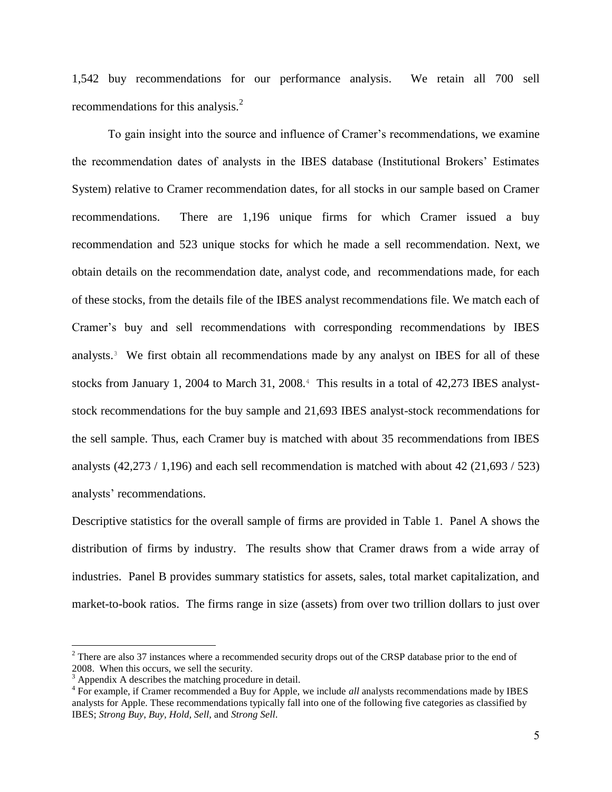1,542 buy recommendations for our performance analysis. We retain all 700 sell recommendations for this analysis.<sup>2</sup>

To gain insight into the source and influence of Cramer's recommendations, we examine the recommendation dates of analysts in the IBES database (Institutional Brokers' Estimates System) relative to Cramer recommendation dates, for all stocks in our sample based on Cramer recommendations. There are 1,196 unique firms for which Cramer issued a buy recommendation and 523 unique stocks for which he made a sell recommendation. Next, we obtain details on the recommendation date, analyst code, and recommendations made, for each of these stocks, from the details file of the IBES analyst recommendations file. We match each of Cramer's buy and sell recommendations with corresponding recommendations by IBES analysts.<sup>3</sup> We first obtain all recommendations made by any analyst on IBES for all of these stocks from January 1, 2004 to March 31, 2008.<sup>4</sup> This results in a total of 42,273 IBES analyststock recommendations for the buy sample and 21,693 IBES analyst-stock recommendations for the sell sample. Thus, each Cramer buy is matched with about 35 recommendations from IBES analysts (42,273 / 1,196) and each sell recommendation is matched with about 42 (21,693 / 523) analysts' recommendations.

Descriptive statistics for the overall sample of firms are provided in Table 1. Panel A shows the distribution of firms by industry. The results show that Cramer draws from a wide array of industries. Panel B provides summary statistics for assets, sales, total market capitalization, and market-to-book ratios. The firms range in size (assets) from over two trillion dollars to just over

 $\overline{a}$ 

<sup>&</sup>lt;sup>2</sup> There are also 37 instances where a recommended security drops out of the CRSP database prior to the end of 2008. When this occurs, we sell the security.

<sup>&</sup>lt;sup>3</sup> Appendix A describes the matching procedure in detail.

<sup>&</sup>lt;sup>4</sup> For example, if Cramer recommended a Buy for Apple, we include *all* analysts recommendations made by IBES analysts for Apple. These recommendations typically fall into one of the following five categories as classified by IBES; *Strong Buy*, *Buy, Hold, Sell*, and *Strong Sell*.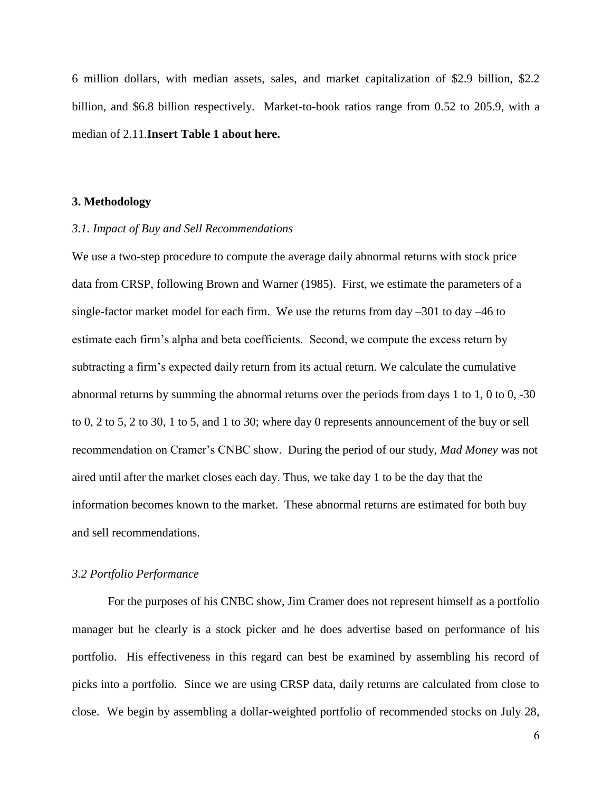6 million dollars, with median assets, sales, and market capitalization of \$2.9 billion, \$2.2 billion, and \$6.8 billion respectively. Market-to-book ratios range from 0.52 to 205.9, with a median of 2.11.**Insert Table 1 about here.**

### **3. Methodology**

### *3.1. Impact of Buy and Sell Recommendations*

We use a two-step procedure to compute the average daily abnormal returns with stock price data from CRSP, following Brown and Warner (1985). First, we estimate the parameters of a single-factor market model for each firm. We use the returns from day –301 to day –46 to estimate each firm's alpha and beta coefficients. Second, we compute the excess return by subtracting a firm's expected daily return from its actual return. We calculate the cumulative abnormal returns by summing the abnormal returns over the periods from days 1 to 1, 0 to 0, -30 to 0, 2 to 5, 2 to 30, 1 to 5, and 1 to 30; where day 0 represents announcement of the buy or sell recommendation on Cramer's CNBC show. During the period of our study, *Mad Money* was not aired until after the market closes each day. Thus, we take day 1 to be the day that the information becomes known to the market. These abnormal returns are estimated for both buy and sell recommendations.

#### *3.2 Portfolio Performance*

For the purposes of his CNBC show, Jim Cramer does not represent himself as a portfolio manager but he clearly is a stock picker and he does advertise based on performance of his portfolio. His effectiveness in this regard can best be examined by assembling his record of picks into a portfolio. Since we are using CRSP data, daily returns are calculated from close to close. We begin by assembling a dollar-weighted portfolio of recommended stocks on July 28,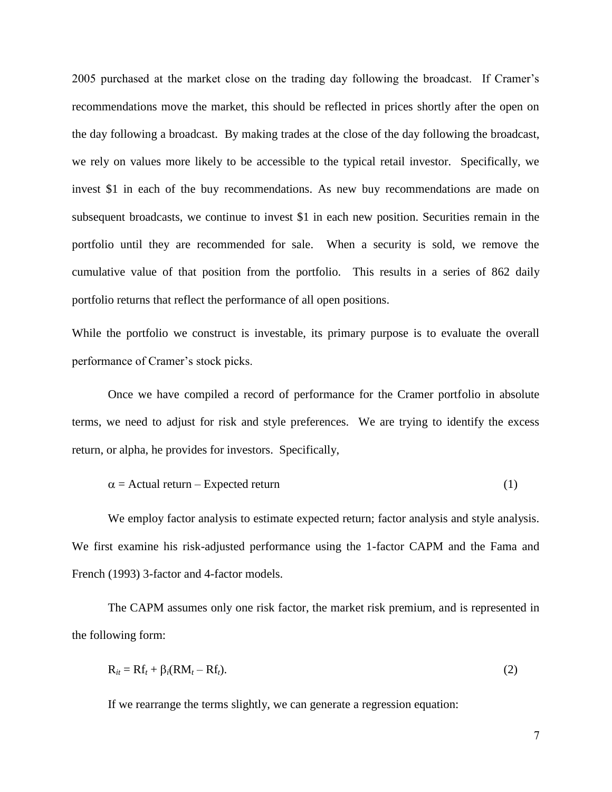2005 purchased at the market close on the trading day following the broadcast. If Cramer's recommendations move the market, this should be reflected in prices shortly after the open on the day following a broadcast. By making trades at the close of the day following the broadcast, we rely on values more likely to be accessible to the typical retail investor. Specifically, we invest \$1 in each of the buy recommendations. As new buy recommendations are made on subsequent broadcasts, we continue to invest \$1 in each new position. Securities remain in the portfolio until they are recommended for sale. When a security is sold, we remove the cumulative value of that position from the portfolio. This results in a series of 862 daily portfolio returns that reflect the performance of all open positions.

While the portfolio we construct is investable, its primary purpose is to evaluate the overall performance of Cramer's stock picks.

Once we have compiled a record of performance for the Cramer portfolio in absolute terms, we need to adjust for risk and style preferences. We are trying to identify the excess return, or alpha, he provides for investors. Specifically,

$$
\alpha = \text{Actual return} - \text{Expected return} \tag{1}
$$

We employ factor analysis to estimate expected return; factor analysis and style analysis. We first examine his risk-adjusted performance using the 1-factor CAPM and the Fama and French (1993) 3-factor and 4-factor models.

The CAPM assumes only one risk factor, the market risk premium, and is represented in the following form:

$$
R_{it} = Rf_t + \beta_i (RM_t - Rf_t). \tag{2}
$$

If we rearrange the terms slightly, we can generate a regression equation: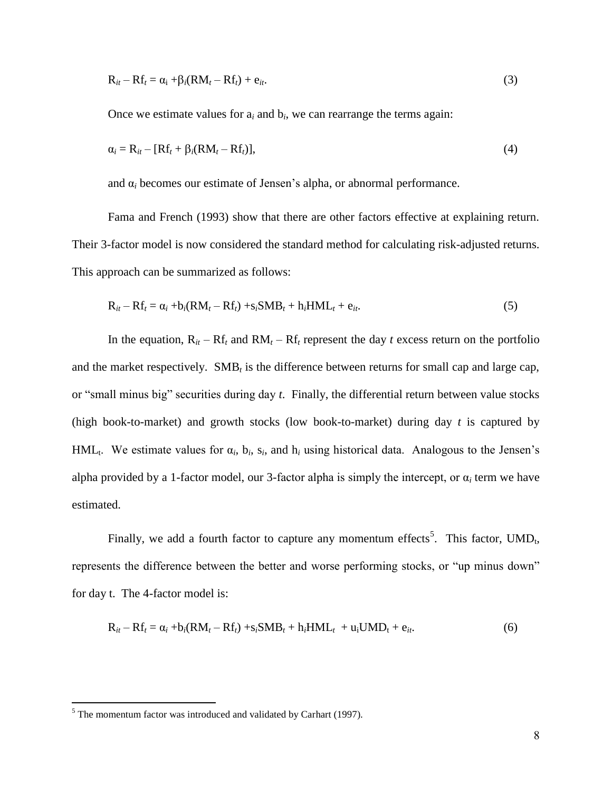$$
R_{it} - Rf_t = \alpha_i + \beta_i (RM_t - Rf_t) + e_{it}.
$$
\n(3)

Once we estimate values for  $a_i$  and  $b_i$ , we can rearrange the terms again:

$$
\alpha_i = \mathbf{R}_{it} - [\mathbf{R}\mathbf{f}_t + \beta_i(\mathbf{R}\mathbf{M}_t - \mathbf{R}\mathbf{f}_t)],\tag{4}
$$

and  $\alpha_i$  becomes our estimate of Jensen's alpha, or abnormal performance.

Fama and French (1993) show that there are other factors effective at explaining return. Their 3-factor model is now considered the standard method for calculating risk-adjusted returns. This approach can be summarized as follows:

$$
R_{it} - Rf_t = \alpha_i + b_i(RM_t - Rf_t) + s_iSMB_t + h_iHML_t + e_{it}.
$$
\n
$$
(5)
$$

In the equation,  $R_{it} - Rf_t$  and  $RM_t - Rf_t$  represent the day *t* excess return on the portfolio and the market respectively.  $SMB_t$  is the difference between returns for small cap and large cap, or "small minus big" securities during day *t*. Finally, the differential return between value stocks (high book-to-market) and growth stocks (low book-to-market) during day *t* is captured by HML<sub>t</sub>. We estimate values for  $\alpha_i$ ,  $b_i$ ,  $s_i$ , and  $h_i$  using historical data. Analogous to the Jensen's alpha provided by a 1-factor model, our 3-factor alpha is simply the intercept, or  $\alpha_i$  term we have estimated.

Finally, we add a fourth factor to capture any momentum effects<sup>5</sup>. This factor,  $UMD_t$ , represents the difference between the better and worse performing stocks, or "up minus down" for day t. The 4-factor model is:

$$
R_{it} - Rf_t = \alpha_i + b_i(RM_t - Rf_t) + s_iSMB_t + h_iHML_t + u_iUMD_t + e_{it}.
$$
 (6)

 $\overline{a}$ 

 $<sup>5</sup>$  The momentum factor was introduced and validated by Carhart (1997).</sup>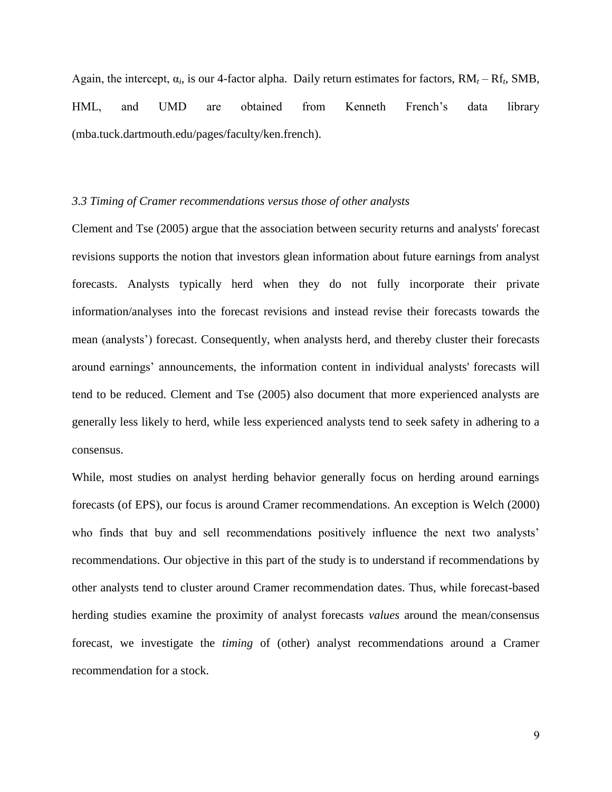Again, the intercept,  $\alpha_i$ , is our 4-factor alpha. Daily return estimates for factors,  $RM_t - Rf_t$ , SMB, HML, and UMD are obtained from Kenneth French's data library (mba.tuck.dartmouth.edu/pages/faculty/ken.french).

#### *3.3 Timing of Cramer recommendations versus those of other analysts*

Clement and Tse (2005) argue that the association between security returns and analysts' forecast revisions supports the notion that investors glean information about future earnings from analyst forecasts. Analysts typically herd when they do not fully incorporate their private information/analyses into the forecast revisions and instead revise their forecasts towards the mean (analysts') forecast. Consequently, when analysts herd, and thereby cluster their forecasts around earnings' announcements, the information content in individual analysts' forecasts will tend to be reduced. Clement and Tse (2005) also document that more experienced analysts are generally less likely to herd, while less experienced analysts tend to seek safety in adhering to a consensus.

While, most studies on analyst herding behavior generally focus on herding around earnings forecasts (of EPS), our focus is around Cramer recommendations. An exception is Welch (2000) who finds that buy and sell recommendations positively influence the next two analysts' recommendations. Our objective in this part of the study is to understand if recommendations by other analysts tend to cluster around Cramer recommendation dates. Thus, while forecast-based herding studies examine the proximity of analyst forecasts *values* around the mean/consensus forecast, we investigate the *timing* of (other) analyst recommendations around a Cramer recommendation for a stock.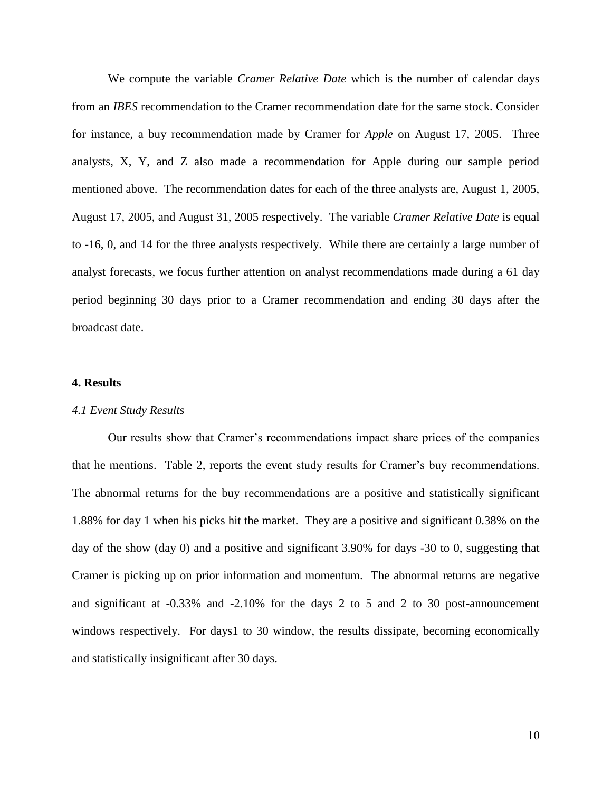We compute the variable *Cramer Relative Date* which is the number of calendar days from an *IBES* recommendation to the Cramer recommendation date for the same stock. Consider for instance, a buy recommendation made by Cramer for *Apple* on August 17, 2005. Three analysts, X, Y, and Z also made a recommendation for Apple during our sample period mentioned above. The recommendation dates for each of the three analysts are, August 1, 2005, August 17, 2005, and August 31, 2005 respectively. The variable *Cramer Relative Date* is equal to -16, 0, and 14 for the three analysts respectively. While there are certainly a large number of analyst forecasts, we focus further attention on analyst recommendations made during a 61 day period beginning 30 days prior to a Cramer recommendation and ending 30 days after the broadcast date.

## **4. Results**

#### *4.1 Event Study Results*

Our results show that Cramer's recommendations impact share prices of the companies that he mentions. Table 2, reports the event study results for Cramer's buy recommendations. The abnormal returns for the buy recommendations are a positive and statistically significant 1.88% for day 1 when his picks hit the market. They are a positive and significant 0.38% on the day of the show (day 0) and a positive and significant 3.90% for days -30 to 0, suggesting that Cramer is picking up on prior information and momentum. The abnormal returns are negative and significant at -0.33% and -2.10% for the days 2 to 5 and 2 to 30 post-announcement windows respectively. For days1 to 30 window, the results dissipate, becoming economically and statistically insignificant after 30 days.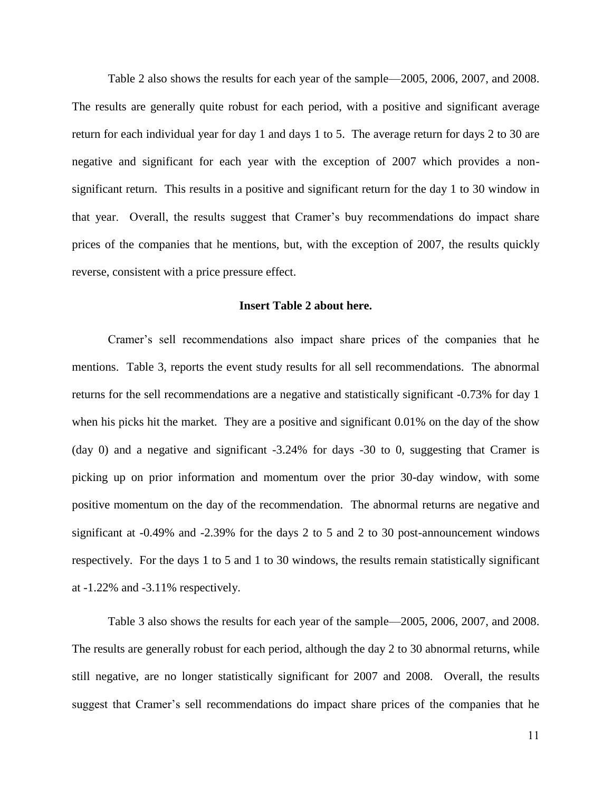Table 2 also shows the results for each year of the sample—2005, 2006, 2007, and 2008. The results are generally quite robust for each period, with a positive and significant average return for each individual year for day 1 and days 1 to 5. The average return for days 2 to 30 are negative and significant for each year with the exception of 2007 which provides a nonsignificant return. This results in a positive and significant return for the day 1 to 30 window in that year. Overall, the results suggest that Cramer's buy recommendations do impact share prices of the companies that he mentions, but, with the exception of 2007, the results quickly reverse, consistent with a price pressure effect.

#### **Insert Table 2 about here.**

Cramer's sell recommendations also impact share prices of the companies that he mentions. Table 3, reports the event study results for all sell recommendations. The abnormal returns for the sell recommendations are a negative and statistically significant -0.73% for day 1 when his picks hit the market. They are a positive and significant 0.01% on the day of the show (day 0) and a negative and significant -3.24% for days -30 to 0, suggesting that Cramer is picking up on prior information and momentum over the prior 30-day window, with some positive momentum on the day of the recommendation. The abnormal returns are negative and significant at -0.49% and -2.39% for the days 2 to 5 and 2 to 30 post-announcement windows respectively. For the days 1 to 5 and 1 to 30 windows, the results remain statistically significant at -1.22% and -3.11% respectively.

Table 3 also shows the results for each year of the sample—2005, 2006, 2007, and 2008. The results are generally robust for each period, although the day 2 to 30 abnormal returns, while still negative, are no longer statistically significant for 2007 and 2008. Overall, the results suggest that Cramer's sell recommendations do impact share prices of the companies that he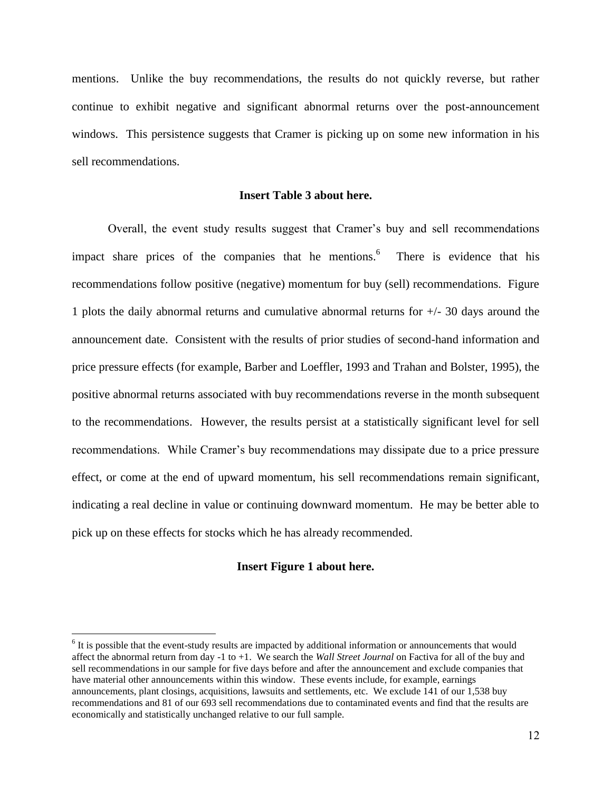mentions. Unlike the buy recommendations, the results do not quickly reverse, but rather continue to exhibit negative and significant abnormal returns over the post-announcement windows. This persistence suggests that Cramer is picking up on some new information in his sell recommendations.

### **Insert Table 3 about here.**

Overall, the event study results suggest that Cramer's buy and sell recommendations impact share prices of the companies that he mentions.<sup>6</sup> There is evidence that his recommendations follow positive (negative) momentum for buy (sell) recommendations. Figure 1 plots the daily abnormal returns and cumulative abnormal returns for +/- 30 days around the announcement date. Consistent with the results of prior studies of second-hand information and price pressure effects (for example, Barber and Loeffler, 1993 and Trahan and Bolster, 1995), the positive abnormal returns associated with buy recommendations reverse in the month subsequent to the recommendations. However, the results persist at a statistically significant level for sell recommendations. While Cramer's buy recommendations may dissipate due to a price pressure effect, or come at the end of upward momentum, his sell recommendations remain significant, indicating a real decline in value or continuing downward momentum. He may be better able to pick up on these effects for stocks which he has already recommended.

### **Insert Figure 1 about here.**

 $\overline{a}$ 

 $6$  It is possible that the event-study results are impacted by additional information or announcements that would affect the abnormal return from day -1 to +1. We search the *Wall Street Journal* on Factiva for all of the buy and sell recommendations in our sample for five days before and after the announcement and exclude companies that have material other announcements within this window. These events include, for example, earnings announcements, plant closings, acquisitions, lawsuits and settlements, etc. We exclude 141 of our 1,538 buy recommendations and 81 of our 693 sell recommendations due to contaminated events and find that the results are economically and statistically unchanged relative to our full sample.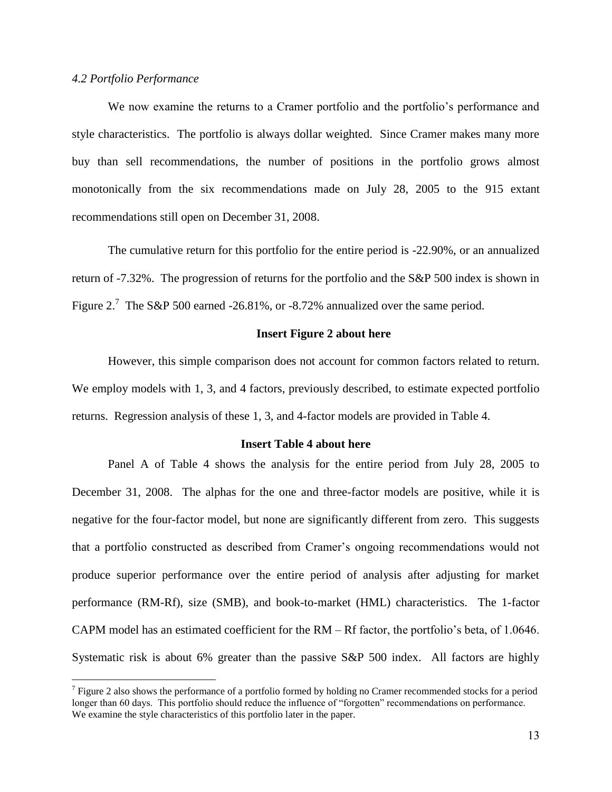# *4.2 Portfolio Performance*

 $\overline{a}$ 

We now examine the returns to a Cramer portfolio and the portfolio's performance and style characteristics. The portfolio is always dollar weighted. Since Cramer makes many more buy than sell recommendations, the number of positions in the portfolio grows almost monotonically from the six recommendations made on July 28, 2005 to the 915 extant recommendations still open on December 31, 2008.

The cumulative return for this portfolio for the entire period is -22.90%, or an annualized return of -7.32%. The progression of returns for the portfolio and the S&P 500 index is shown in Figure 2.<sup>7</sup> The S&P 500 earned -26.81%, or -8.72% annualized over the same period.

#### **Insert Figure 2 about here**

However, this simple comparison does not account for common factors related to return. We employ models with 1, 3, and 4 factors, previously described, to estimate expected portfolio returns. Regression analysis of these 1, 3, and 4-factor models are provided in Table 4.

#### **Insert Table 4 about here**

Panel A of Table 4 shows the analysis for the entire period from July 28, 2005 to December 31, 2008. The alphas for the one and three-factor models are positive, while it is negative for the four-factor model, but none are significantly different from zero. This suggests that a portfolio constructed as described from Cramer's ongoing recommendations would not produce superior performance over the entire period of analysis after adjusting for market performance (RM-Rf), size (SMB), and book-to-market (HML) characteristics. The 1-factor CAPM model has an estimated coefficient for the RM – Rf factor, the portfolio's beta, of 1.0646. Systematic risk is about 6% greater than the passive S&P 500 index. All factors are highly

 $7$  Figure 2 also shows the performance of a portfolio formed by holding no Cramer recommended stocks for a period longer than 60 days. This portfolio should reduce the influence of "forgotten" recommendations on performance. We examine the style characteristics of this portfolio later in the paper.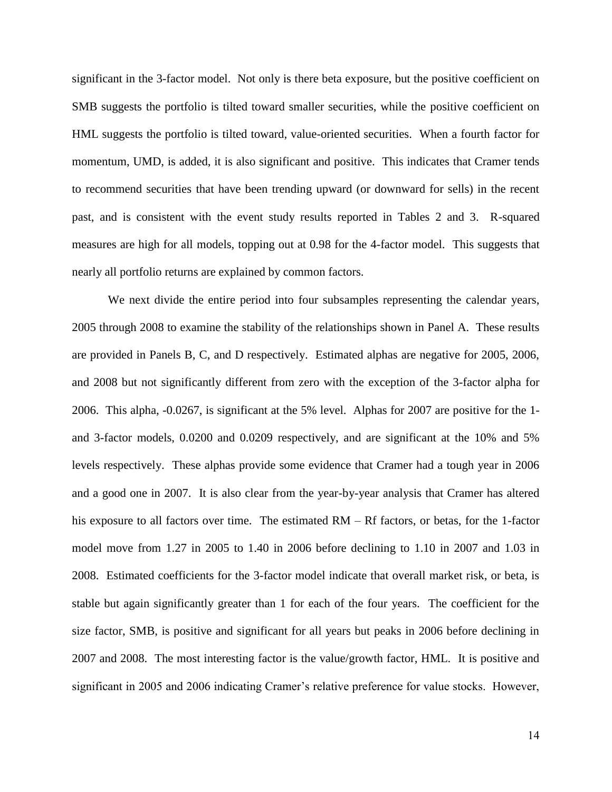significant in the 3-factor model. Not only is there beta exposure, but the positive coefficient on SMB suggests the portfolio is tilted toward smaller securities, while the positive coefficient on HML suggests the portfolio is tilted toward, value-oriented securities. When a fourth factor for momentum, UMD, is added, it is also significant and positive. This indicates that Cramer tends to recommend securities that have been trending upward (or downward for sells) in the recent past, and is consistent with the event study results reported in Tables 2 and 3. R-squared measures are high for all models, topping out at 0.98 for the 4-factor model. This suggests that nearly all portfolio returns are explained by common factors.

We next divide the entire period into four subsamples representing the calendar years, 2005 through 2008 to examine the stability of the relationships shown in Panel A. These results are provided in Panels B, C, and D respectively. Estimated alphas are negative for 2005, 2006, and 2008 but not significantly different from zero with the exception of the 3-factor alpha for 2006. This alpha, -0.0267, is significant at the 5% level. Alphas for 2007 are positive for the 1 and 3-factor models, 0.0200 and 0.0209 respectively, and are significant at the 10% and 5% levels respectively. These alphas provide some evidence that Cramer had a tough year in 2006 and a good one in 2007. It is also clear from the year-by-year analysis that Cramer has altered his exposure to all factors over time. The estimated  $RM - Rf$  factors, or betas, for the 1-factor model move from 1.27 in 2005 to 1.40 in 2006 before declining to 1.10 in 2007 and 1.03 in 2008. Estimated coefficients for the 3-factor model indicate that overall market risk, or beta, is stable but again significantly greater than 1 for each of the four years. The coefficient for the size factor, SMB, is positive and significant for all years but peaks in 2006 before declining in 2007 and 2008. The most interesting factor is the value/growth factor, HML. It is positive and significant in 2005 and 2006 indicating Cramer's relative preference for value stocks. However,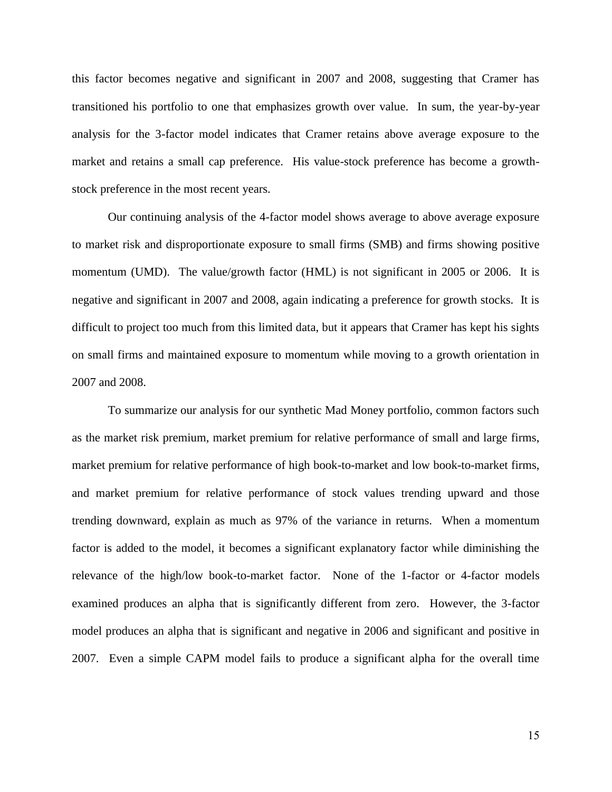this factor becomes negative and significant in 2007 and 2008, suggesting that Cramer has transitioned his portfolio to one that emphasizes growth over value. In sum, the year-by-year analysis for the 3-factor model indicates that Cramer retains above average exposure to the market and retains a small cap preference. His value-stock preference has become a growthstock preference in the most recent years.

Our continuing analysis of the 4-factor model shows average to above average exposure to market risk and disproportionate exposure to small firms (SMB) and firms showing positive momentum (UMD). The value/growth factor (HML) is not significant in 2005 or 2006. It is negative and significant in 2007 and 2008, again indicating a preference for growth stocks. It is difficult to project too much from this limited data, but it appears that Cramer has kept his sights on small firms and maintained exposure to momentum while moving to a growth orientation in 2007 and 2008.

To summarize our analysis for our synthetic Mad Money portfolio, common factors such as the market risk premium, market premium for relative performance of small and large firms, market premium for relative performance of high book-to-market and low book-to-market firms, and market premium for relative performance of stock values trending upward and those trending downward, explain as much as 97% of the variance in returns. When a momentum factor is added to the model, it becomes a significant explanatory factor while diminishing the relevance of the high/low book-to-market factor. None of the 1-factor or 4-factor models examined produces an alpha that is significantly different from zero. However, the 3-factor model produces an alpha that is significant and negative in 2006 and significant and positive in 2007. Even a simple CAPM model fails to produce a significant alpha for the overall time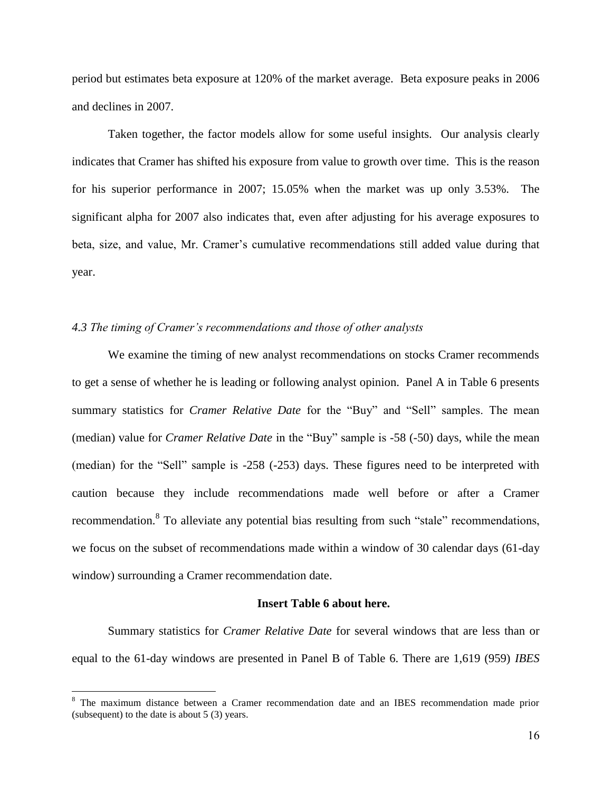period but estimates beta exposure at 120% of the market average. Beta exposure peaks in 2006 and declines in 2007.

Taken together, the factor models allow for some useful insights. Our analysis clearly indicates that Cramer has shifted his exposure from value to growth over time. This is the reason for his superior performance in 2007; 15.05% when the market was up only 3.53%. The significant alpha for 2007 also indicates that, even after adjusting for his average exposures to beta, size, and value, Mr. Cramer's cumulative recommendations still added value during that year.

# *4.3 The timing of Cramer's recommendations and those of other analysts*

We examine the timing of new analyst recommendations on stocks Cramer recommends to get a sense of whether he is leading or following analyst opinion. Panel A in Table 6 presents summary statistics for *Cramer Relative Date* for the "Buy" and "Sell" samples. The mean (median) value for *Cramer Relative Date* in the "Buy" sample is -58 (-50) days, while the mean (median) for the "Sell" sample is  $-258$  ( $-253$ ) days. These figures need to be interpreted with caution because they include recommendations made well before or after a Cramer recommendation.<sup>8</sup> To alleviate any potential bias resulting from such "stale" recommendations, we focus on the subset of recommendations made within a window of 30 calendar days (61-day window) surrounding a Cramer recommendation date.

#### **Insert Table 6 about here.**

Summary statistics for *Cramer Relative Date* for several windows that are less than or equal to the 61-day windows are presented in Panel B of Table 6. There are 1,619 (959) *IBES*

 $\overline{a}$ 

<sup>8</sup> The maximum distance between a Cramer recommendation date and an IBES recommendation made prior (subsequent) to the date is about 5 (3) years.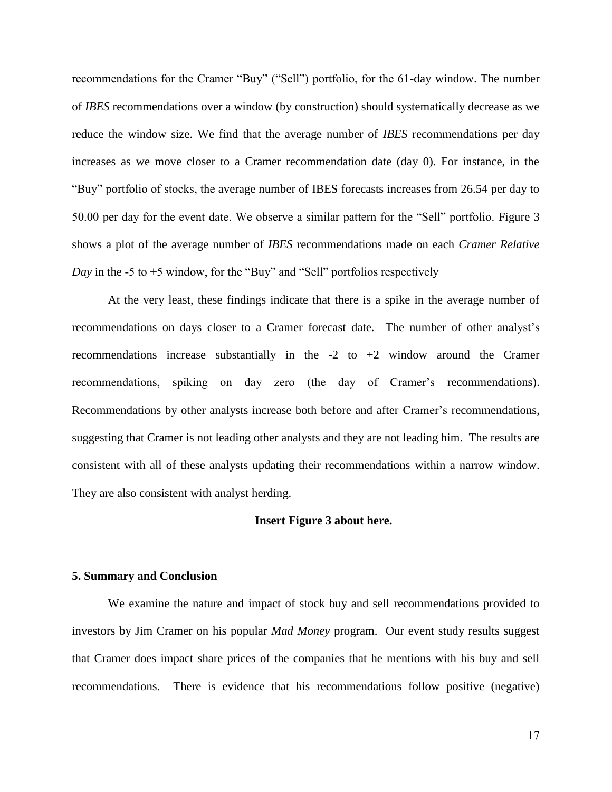recommendations for the Cramer "Buy" ("Sell") portfolio, for the 61-day window. The number of *IBES* recommendations over a window (by construction) should systematically decrease as we reduce the window size. We find that the average number of *IBES* recommendations per day increases as we move closer to a Cramer recommendation date (day 0). For instance, in the "Buy" portfolio of stocks, the average number of IBES forecasts increases from 26.54 per day to 50.00 per day for the event date. We observe a similar pattern for the "Sell" portfolio. Figure 3 shows a plot of the average number of *IBES* recommendations made on each *Cramer Relative Day* in the -5 to +5 window, for the "Buy" and "Sell" portfolios respectively

At the very least, these findings indicate that there is a spike in the average number of recommendations on days closer to a Cramer forecast date. The number of other analyst's recommendations increase substantially in the  $-2$  to  $+2$  window around the Cramer recommendations, spiking on day zero (the day of Cramer's recommendations). Recommendations by other analysts increase both before and after Cramer's recommendations, suggesting that Cramer is not leading other analysts and they are not leading him. The results are consistent with all of these analysts updating their recommendations within a narrow window. They are also consistent with analyst herding.

#### **Insert Figure 3 about here.**

#### **5. Summary and Conclusion**

We examine the nature and impact of stock buy and sell recommendations provided to investors by Jim Cramer on his popular *Mad Money* program. Our event study results suggest that Cramer does impact share prices of the companies that he mentions with his buy and sell recommendations. There is evidence that his recommendations follow positive (negative)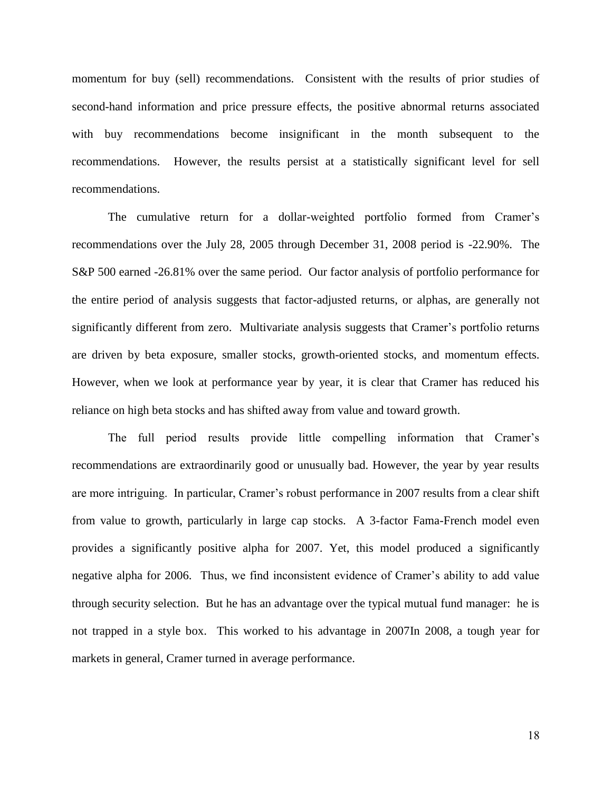momentum for buy (sell) recommendations. Consistent with the results of prior studies of second-hand information and price pressure effects, the positive abnormal returns associated with buy recommendations become insignificant in the month subsequent to the recommendations. However, the results persist at a statistically significant level for sell recommendations.

The cumulative return for a dollar-weighted portfolio formed from Cramer's recommendations over the July 28, 2005 through December 31, 2008 period is -22.90%. The S&P 500 earned -26.81% over the same period. Our factor analysis of portfolio performance for the entire period of analysis suggests that factor-adjusted returns, or alphas, are generally not significantly different from zero. Multivariate analysis suggests that Cramer's portfolio returns are driven by beta exposure, smaller stocks, growth-oriented stocks, and momentum effects. However, when we look at performance year by year, it is clear that Cramer has reduced his reliance on high beta stocks and has shifted away from value and toward growth.

The full period results provide little compelling information that Cramer's recommendations are extraordinarily good or unusually bad. However, the year by year results are more intriguing. In particular, Cramer's robust performance in 2007 results from a clear shift from value to growth, particularly in large cap stocks. A 3-factor Fama-French model even provides a significantly positive alpha for 2007. Yet, this model produced a significantly negative alpha for 2006. Thus, we find inconsistent evidence of Cramer's ability to add value through security selection. But he has an advantage over the typical mutual fund manager: he is not trapped in a style box. This worked to his advantage in 2007In 2008, a tough year for markets in general, Cramer turned in average performance.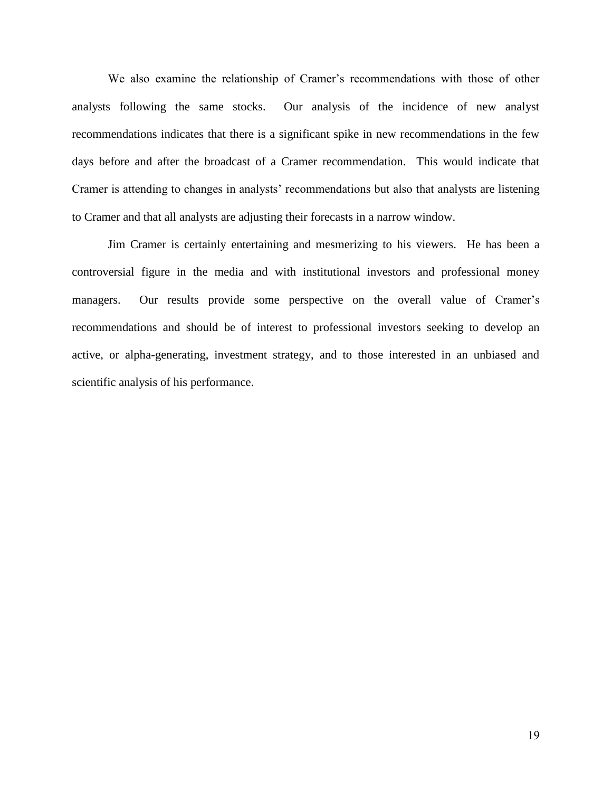We also examine the relationship of Cramer's recommendations with those of other analysts following the same stocks. Our analysis of the incidence of new analyst recommendations indicates that there is a significant spike in new recommendations in the few days before and after the broadcast of a Cramer recommendation. This would indicate that Cramer is attending to changes in analysts' recommendations but also that analysts are listening to Cramer and that all analysts are adjusting their forecasts in a narrow window.

Jim Cramer is certainly entertaining and mesmerizing to his viewers. He has been a controversial figure in the media and with institutional investors and professional money managers. Our results provide some perspective on the overall value of Cramer's recommendations and should be of interest to professional investors seeking to develop an active, or alpha-generating, investment strategy, and to those interested in an unbiased and scientific analysis of his performance.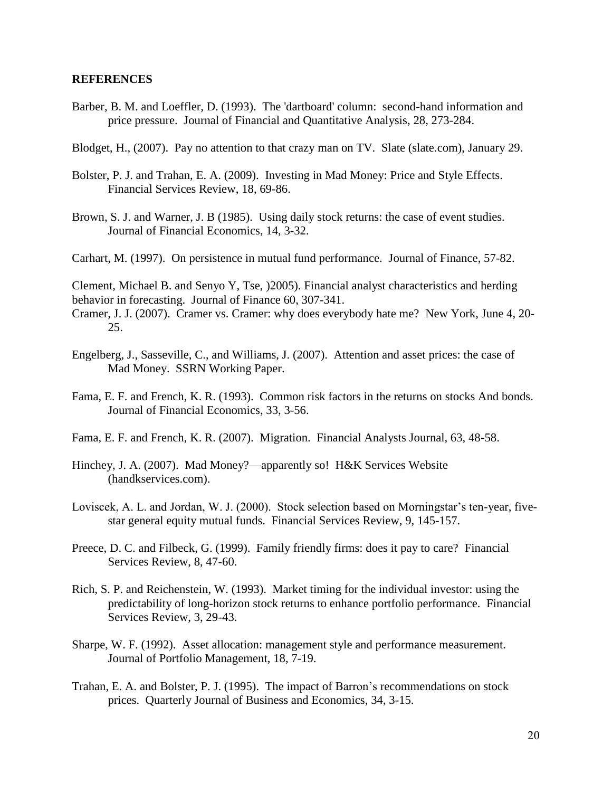### **REFERENCES**

- Barber, B. M. and Loeffler, D. (1993). The 'dartboard' column: second-hand information and price pressure. Journal of Financial and Quantitative Analysis, 28, 273-284.
- Blodget, H., (2007). Pay no attention to that crazy man on TV. Slate (slate.com), January 29.
- Bolster, P. J. and Trahan, E. A. (2009). Investing in Mad Money: Price and Style Effects. Financial Services Review, 18, 69-86.
- Brown, S. J. and Warner, J. B (1985). Using daily stock returns: the case of event studies. Journal of Financial Economics, 14, 3-32.
- Carhart, M. (1997). On persistence in mutual fund performance. Journal of Finance, 57-82.

Clement, Michael B. and Senyo Y, Tse, )2005). Financial analyst characteristics and herding behavior in forecasting. Journal of Finance 60, 307-341.

Cramer, J. J. (2007). Cramer vs. Cramer: why does everybody hate me? New York, June 4, 20- 25.

- Engelberg, J., Sasseville, C., and Williams, J. (2007). Attention and asset prices: the case of Mad Money. SSRN Working Paper.
- Fama, E. F. and French, K. R. (1993). Common risk factors in the returns on stocks And bonds. Journal of Financial Economics, 33, 3-56.
- Fama, E. F. and French, K. R. (2007). Migration. Financial Analysts Journal, 63, 48-58.
- Hinchey, J. A. (2007). Mad Money?—apparently so! H&K Services Website (handkservices.com).
- Loviscek, A. L. and Jordan, W. J. (2000). Stock selection based on Morningstar's ten-year, fivestar general equity mutual funds. Financial Services Review, 9, 145-157.
- Preece, D. C. and Filbeck, G. (1999). Family friendly firms: does it pay to care? Financial Services Review, 8, 47-60.
- Rich, S. P. and Reichenstein, W. (1993). Market timing for the individual investor: using the predictability of long-horizon stock returns to enhance portfolio performance. Financial Services Review, 3, 29-43.
- Sharpe, W. F. (1992). Asset allocation: management style and performance measurement. Journal of Portfolio Management, 18, 7-19.
- Trahan, E. A. and Bolster, P. J. (1995). The impact of Barron's recommendations on stock prices. Quarterly Journal of Business and Economics, 34, 3-15.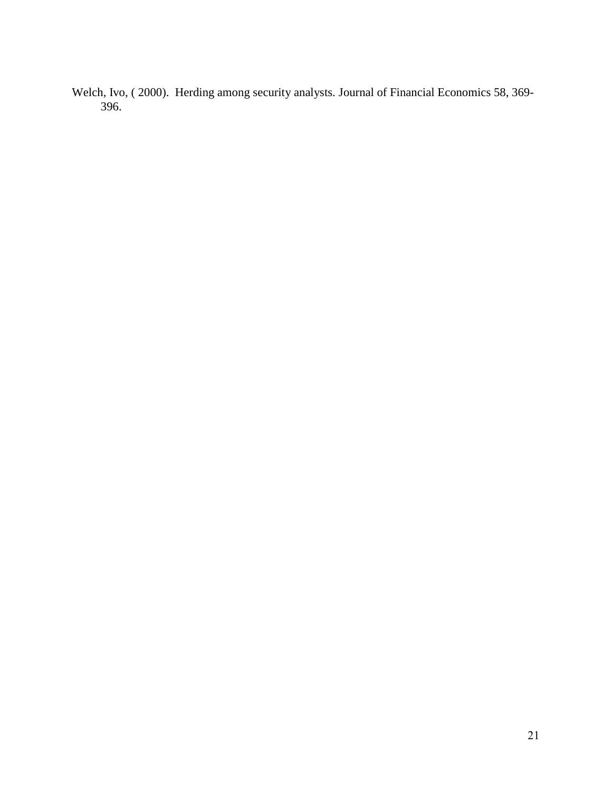Welch, Ivo, ( 2000). Herding among security analysts. Journal of Financial Economics 58, 369- 396.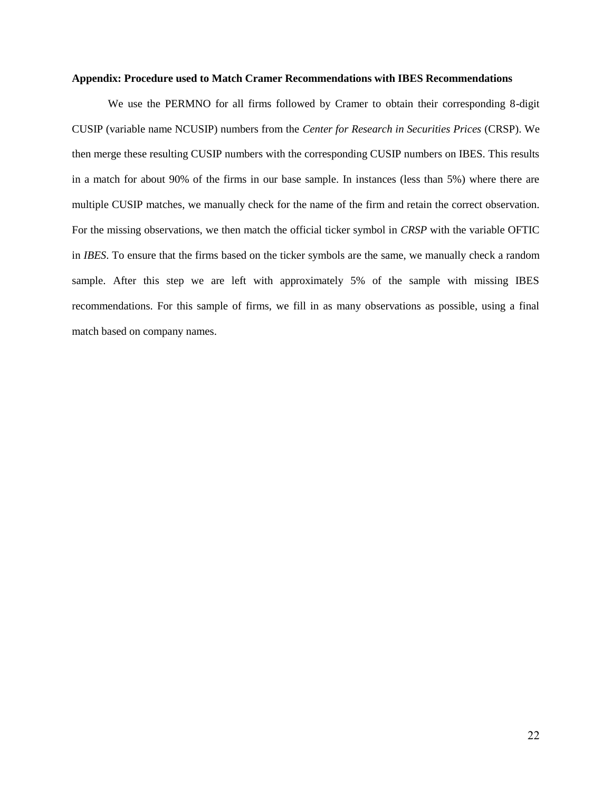#### **Appendix: Procedure used to Match Cramer Recommendations with IBES Recommendations**

We use the PERMNO for all firms followed by Cramer to obtain their corresponding 8-digit CUSIP (variable name NCUSIP) numbers from the *Center for Research in Securities Prices* (CRSP). We then merge these resulting CUSIP numbers with the corresponding CUSIP numbers on IBES. This results in a match for about 90% of the firms in our base sample. In instances (less than 5%) where there are multiple CUSIP matches, we manually check for the name of the firm and retain the correct observation. For the missing observations, we then match the official ticker symbol in *CRSP* with the variable OFTIC in *IBES*. To ensure that the firms based on the ticker symbols are the same, we manually check a random sample. After this step we are left with approximately 5% of the sample with missing IBES recommendations. For this sample of firms, we fill in as many observations as possible, using a final match based on company names.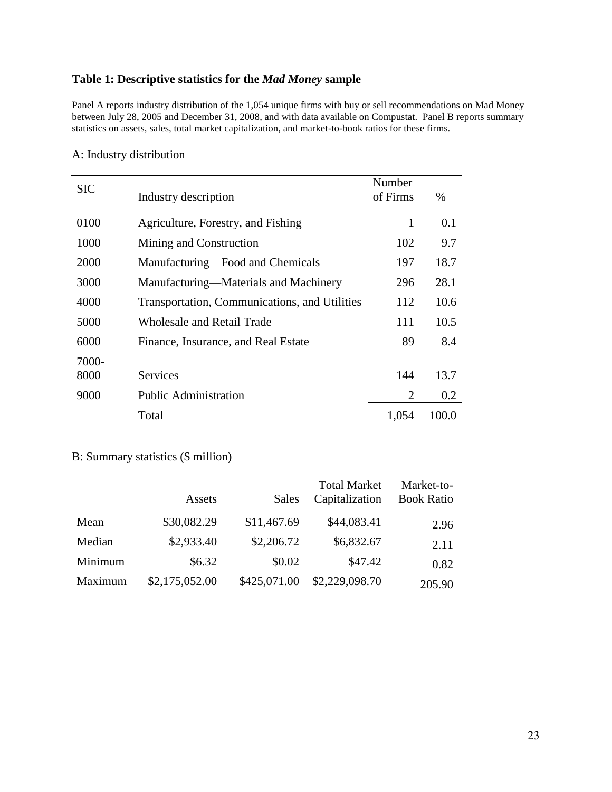# **Table 1: Descriptive statistics for the** *Mad Money* **sample**

Panel A reports industry distribution of the 1,054 unique firms with buy or sell recommendations on Mad Money between July 28, 2005 and December 31, 2008, and with data available on Compustat. Panel B reports summary statistics on assets, sales, total market capitalization, and market-to-book ratios for these firms.

| <b>SIC</b>    | Industry description                          | Number<br>of Firms | $\%$  |
|---------------|-----------------------------------------------|--------------------|-------|
| 0100          | Agriculture, Forestry, and Fishing            | 1                  | 0.1   |
| 1000          | Mining and Construction                       | 102                | 9.7   |
| 2000          | Manufacturing—Food and Chemicals              | 197                | 18.7  |
| 3000          | Manufacturing—Materials and Machinery         | 296                | 28.1  |
| 4000          | Transportation, Communications, and Utilities | 112                | 10.6  |
| 5000          | <b>Wholesale and Retail Trade</b>             | 111                | 10.5  |
| 6000          | Finance, Insurance, and Real Estate           | 89                 | 8.4   |
| 7000-<br>8000 | <b>Services</b>                               | 144                | 13.7  |
| 9000          | <b>Public Administration</b>                  | $\overline{2}$     | 0.2   |
|               | Total                                         | 1,054              | 100.0 |

# A: Industry distribution

# B: Summary statistics (\$ million)

|         | Assets         | Sales        | <b>Total Market</b><br>Capitalization | Market-to-<br><b>Book Ratio</b> |
|---------|----------------|--------------|---------------------------------------|---------------------------------|
| Mean    | \$30,082.29    | \$11,467.69  | \$44,083.41                           | 2.96                            |
| Median  | \$2,933.40     | \$2,206.72   | \$6,832.67                            | 2.11                            |
| Minimum | \$6.32         | \$0.02       | \$47.42                               | 0.82                            |
| Maximum | \$2,175,052.00 | \$425,071.00 | \$2,229,098.70                        | 205.90                          |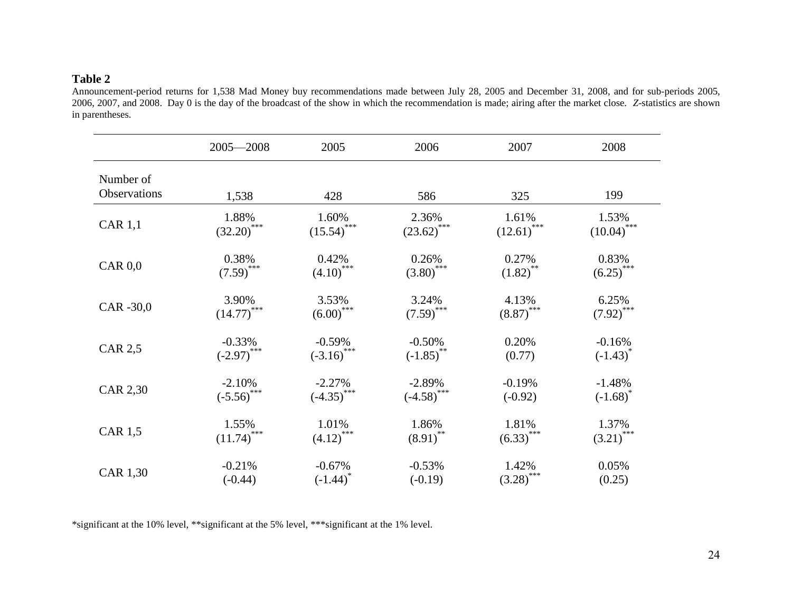# **Table 2**

Announcement-period returns for 1,538 Mad Money buy recommendations made between July 28, 2005 and December 31, 2008, and for sub-periods 2005, 2006, 2007, and 2008. Day 0 is the day of the broadcast of the show in which the recommendation is made; airing after the market close. *Z*-statistics are shown in parentheses.

|                           | $2005 - 2008$                      | 2005                     | 2006                             | 2007                             | 2008                             |
|---------------------------|------------------------------------|--------------------------|----------------------------------|----------------------------------|----------------------------------|
| Number of<br>Observations | 1,538                              | 428                      | 586                              | 325                              | 199                              |
| <b>CAR 1,1</b>            | 1.88%                              | 1.60%                    | 2.36%                            | 1.61%                            | 1.53%                            |
|                           | $(32.20)$ ***                      | $(15.54)$ <sup>***</sup> | $(23.62)$ ***                    | $(12.61)$ <sup>***</sup>         | $(10.04)$ <sup>***</sup>         |
| $CAR$ $0,0$               | 0.38%                              | 0.42%                    | 0.26%                            | 0.27%                            | 0.83%                            |
|                           | $(7.59)$ <sup>***</sup>            | $(4.10)$ <sup>***</sup>  | $(3.80)$ ***                     | $(1.82)$ <sup>**</sup>           | $(6.25)$ ***                     |
| CAR -30,0                 | $3.90\%$<br>(14.77) <sup>***</sup> | 3.53%<br>$(6.00)$ ***    | 3.24%<br>$(7.59)$ <sup>***</sup> | 4.13%<br>$(8.87)$ <sup>***</sup> | 6.25%<br>$(7.92)$ <sup>***</sup> |
| <b>CAR 2,5</b>            | $-0.33%$                           | $-0.59%$                 | $-0.50%$                         | 0.20%                            | $-0.16%$                         |
|                           | $(-2.97)$ ***                      | $(-3.16)$ ***            | $(-1.85)$ <sup>**</sup>          | (0.77)                           | $(-1.43)^*$                      |
| CAR 2,30                  | $-2.10%$                           | $-2.27%$                 | $-2.89%$                         | $-0.19%$                         | $-1.48%$                         |
|                           | $(-5.56)$ ***                      | $(-4.35)$ ***            | $(-4.58)$ ***                    | $(-0.92)$                        | $(-1.68)^*$                      |
| <b>CAR 1,5</b>            | 1.55%                              | 1.01%                    | 1.86%                            | 1.81%                            | 1.37%                            |
|                           | $(11.74)$ <sup>***</sup>           | $(4.12)$ <sup>***</sup>  | $(8.91)$ **                      | $(6.33)$ ***                     | $(3.21)$ <sup>***</sup>          |
| CAR 1,30                  | $-0.21%$                           | $-0.67%$                 | $-0.53%$                         | 1.42%                            | 0.05%                            |
|                           | $(-0.44)$                          | $(-1.44)^{*}$            | $(-0.19)$                        | $(.3.28)$ ***                    | (0.25)                           |

\*significant at the 10% level, \*\*significant at the 5% level, \*\*\*significant at the 1% level.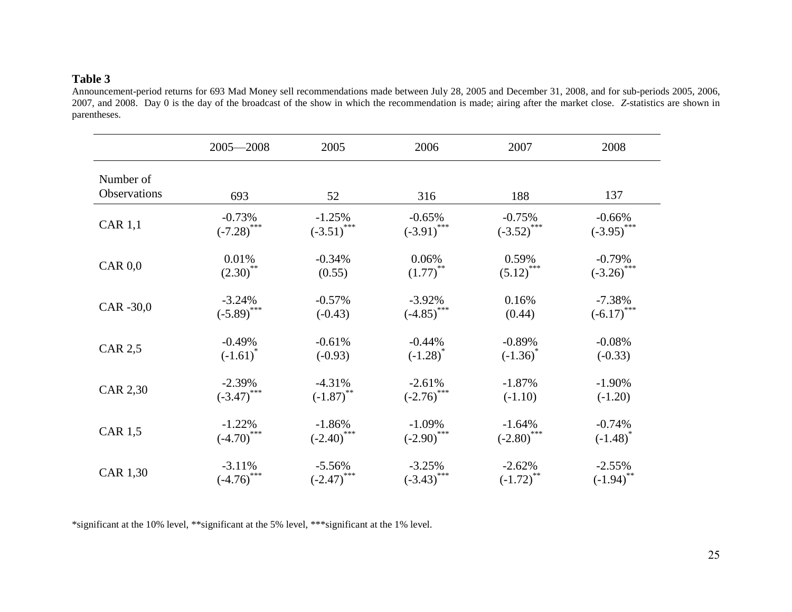# **Table 3**

Announcement-period returns for 693 Mad Money sell recommendations made between July 28, 2005 and December 31, 2008, and for sub-periods 2005, 2006, 2007, and 2008. Day 0 is the day of the broadcast of the show in which the recommendation is made; airing after the market close. *Z*-statistics are shown in parentheses.

|                           | $2005 - 2008$                         | 2005                     | 2006                      | 2007                  | 2008                  |
|---------------------------|---------------------------------------|--------------------------|---------------------------|-----------------------|-----------------------|
| Number of<br>Observations | 693                                   | 52                       | 316                       | 188                   | 137                   |
| <b>CAR 1,1</b>            | $-0.73%$                              | $-1.25%$                 | $-0.65%$                  | $-0.75%$              | $-0.66%$              |
|                           | $(-7.28)$ ***                         | $(-3.51)$ ***            | $(-3.91)$ ***             | $(-3.52)$ ***         | $(-3.95)$ ***         |
| $CAR$ $0,0$               | 0.01%                                 | $-0.34%$                 | 0.06%                     | 0.59%                 | $-0.79%$              |
|                           | $(2.30)$ **                           | (0.55)                   | $(1.77)$ <sup>**</sup>    | $(5.12)$ ***          | $(-3.26)$ ***         |
| CAR -30,0                 | $-3.24%$                              | $-0.57%$                 | $-3.92%$                  | 0.16%                 | $-7.38%$              |
|                           | $(-5.89)$ ***                         | $(-0.43)$                | $(-4.85)$ ***             | (0.44)                | $(-6.17)$ ***         |
| <b>CAR 2,5</b>            | $-0.49%$                              | $-0.61%$                 | $-0.44%$                  | $-0.89%$              | $-0.08%$              |
|                           | $(-1.61)^*$                           | $(-0.93)$                | $(-1.28)^*$               | $(-1.36)^{*}$         | $(-0.33)$             |
| CAR 2,30                  | $-2.39\%$<br>$(-3.47)$ <sup>***</sup> | $-4.31%$<br>$(-1.87)$ ** | $-2.61%$<br>$(-2.76)$ *** | $-1.87%$<br>$(-1.10)$ | $-1.90%$<br>$(-1.20)$ |
| <b>CAR 1,5</b>            | $-1.22%$                              | $-1.86%$                 | $-1.09%$                  | $-1.64%$              | $-0.74%$              |
|                           | $(-4.70)$ ***                         | $(-2.40)$ ***            | $(-2.90)$ ***             | $(-2.80)$ ***         | $(-1.48)^*$           |
| CAR 1,30                  | $-3.11%$                              | $-5.56%$                 | $-3.25%$                  | $-2.62%$              | $-2.55%$              |
|                           | $(-4.76)$ ***                         | $(-2.47)$ ***            | $(-3.43)$ ***             | $(-1.72)^{**}$        | $(-1.94)$ **          |

\*significant at the 10% level, \*\*significant at the 5% level, \*\*\*significant at the 1% level.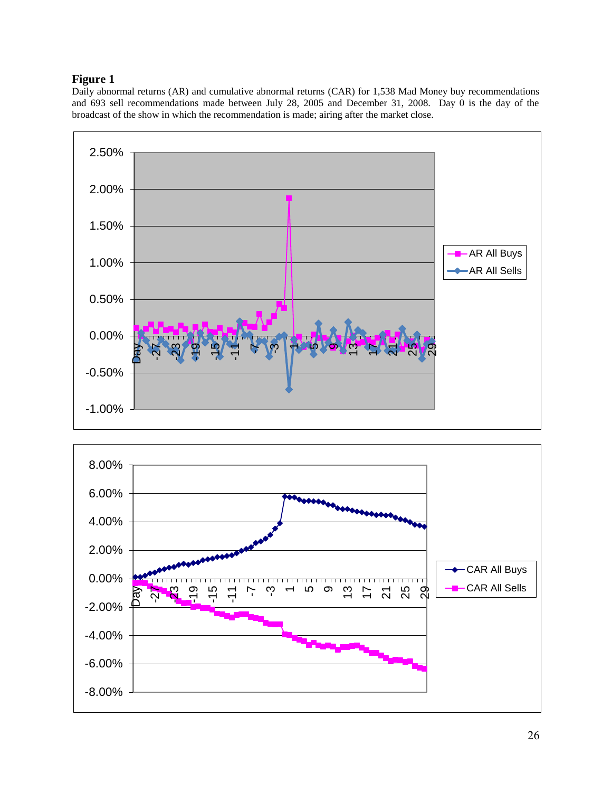# **Figure 1**

Daily abnormal returns (AR) and cumulative abnormal returns (CAR) for 1,538 Mad Money buy recommendations and 693 sell recommendations made between July 28, 2005 and December 31, 2008. Day 0 is the day of the broadcast of the show in which the recommendation is made; airing after the market close.



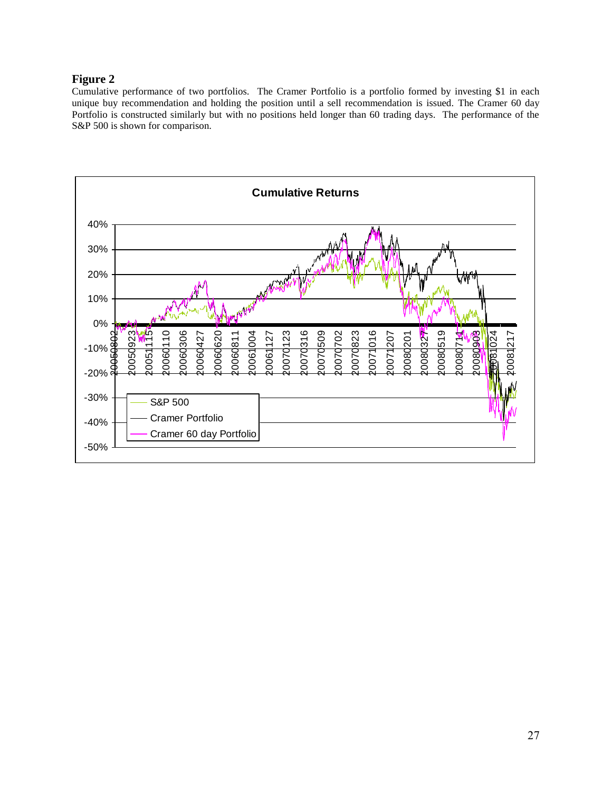# **Figure 2**

Cumulative performance of two portfolios. The Cramer Portfolio is a portfolio formed by investing \$1 in each unique buy recommendation and holding the position until a sell recommendation is issued. The Cramer 60 day Portfolio is constructed similarly but with no positions held longer than 60 trading days. The performance of the S&P 500 is shown for comparison.

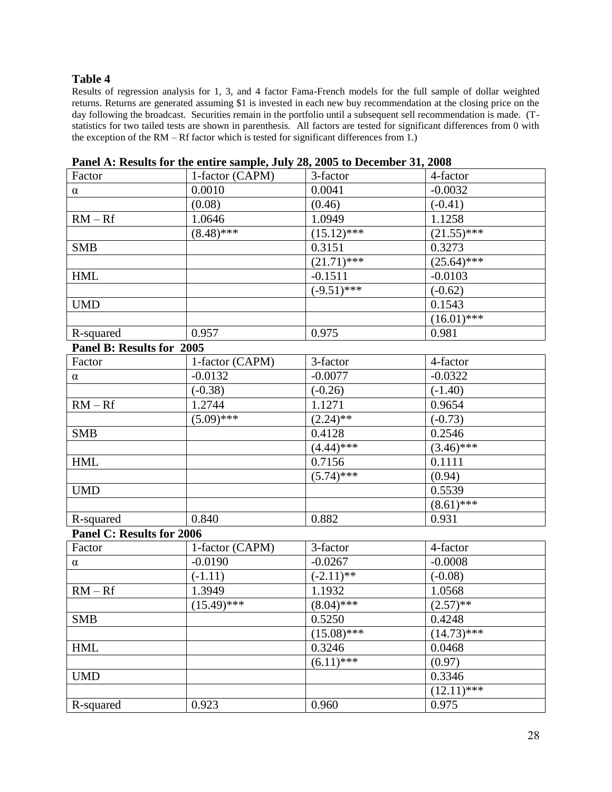# **Table 4**

Results of regression analysis for 1, 3, and 4 factor Fama-French models for the full sample of dollar weighted returns. Returns are generated assuming \$1 is invested in each new buy recommendation at the closing price on the day following the broadcast. Securities remain in the portfolio until a subsequent sell recommendation is made. (Tstatistics for two tailed tests are shown in parenthesis. All factors are tested for significant differences from 0 with the exception of the RM – Rf factor which is tested for significant differences from 1.)

| Factor                    | 1-factor (CAPM) | 3-factor        | 4-factor      |
|---------------------------|-----------------|-----------------|---------------|
| $\alpha$                  | 0.0010          | 0.0041          | $-0.0032$     |
|                           | (0.08)          | (0.46)          | $(-0.41)$     |
| $RM - Rf$                 | 1.0646          | 1.0949          | 1.1258        |
|                           | $(8.48)$ ***    | $(15.12)^{***}$ | $(21.55)$ *** |
| <b>SMB</b>                |                 | 0.3151          | 0.3273        |
|                           |                 | $(21.71)$ ***   | $(25.64)$ *** |
| <b>HML</b>                |                 | $-0.1511$       | $-0.0103$     |
|                           |                 | $(-9.51)$ ***   | $(-0.62)$     |
| <b>UMD</b>                |                 |                 | 0.1543        |
|                           |                 |                 | $(16.01)$ *** |
| R-squared                 | 0.957           | 0.975           | 0.981         |
| Panel B: Results for 2005 |                 |                 |               |
| Factor                    | 1-factor (CAPM) | 3-factor        | 4-factor      |
| $\alpha$                  | $-0.0132$       | $-0.0077$       | $-0.0322$     |
|                           | $(-0.38)$       | $(-0.26)$       | $(-1.40)$     |
| $RM - Rf$                 | 1.2744          | 1.1271          | 0.9654        |
|                           | $(5.09)$ ***    | $(2.24)$ **     | $(-0.73)$     |
| <b>SMB</b>                |                 | 0.4128          | 0.2546        |
|                           |                 | $(4.44)$ ***    | $(3.46)$ ***  |
| <b>HML</b>                |                 | 0.7156          | 0.1111        |
|                           |                 | $(5.74)$ ***    | (0.94)        |
| <b>UMD</b>                |                 |                 | 0.5539        |
|                           |                 |                 | $(8.61)$ ***  |
| R-squared                 | 0.840           | 0.882           | 0.931         |
| Panel C: Results for 2006 |                 |                 |               |
| Factor                    | 1-factor (CAPM) | 3-factor        | 4-factor      |
| $\alpha$                  | $-0.0190$       | $-0.0267$       | $-0.0008$     |
|                           | $(-1.11)$       | $(-2.11)$ **    | $(-0.08)$     |
| $RM - Rf$                 | 1.3949          | 1.1932          | 1.0568        |
|                           | $(15.49)$ ***   | $(8.04)$ ***    | $(2.57)$ **   |
| <b>SMB</b>                |                 | 0.5250          | 0.4248        |
|                           |                 | $(15.08)$ ***   | $(14.73)$ *** |
| <b>HML</b>                |                 | 0.3246          | 0.0468        |
|                           |                 | $(6.11)$ ***    | (0.97)        |
| <b>UMD</b>                |                 |                 | 0.3346        |
|                           |                 |                 | $(12.11)$ *** |
| R-squared                 | 0.923           | 0.960           | 0.975         |
|                           |                 |                 |               |

**Panel A: Results for the entire sample, July 28, 2005 to December 31, 2008**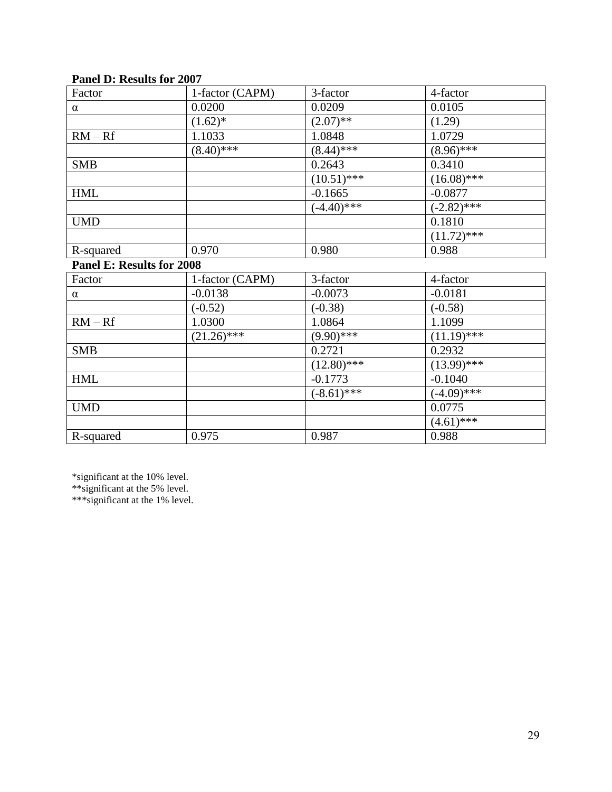| $\mathbf{u}$ $\mathbf{v}$ . The matrix for $\mathbf{v}$ |                 |               |                 |
|---------------------------------------------------------|-----------------|---------------|-----------------|
| Factor                                                  | 1-factor (CAPM) | 3-factor      | 4-factor        |
| $\alpha$                                                | 0.0200          | 0.0209        | 0.0105          |
|                                                         | $(1.62)^*$      | $(2.07)$ **   | (1.29)          |
| $RM - Rf$                                               | 1.1033          | 1.0848        | 1.0729          |
|                                                         | $(8.40)$ ***    | $(8.44)$ ***  | $(8.96)$ ***    |
| <b>SMB</b>                                              |                 | 0.2643        | 0.3410          |
|                                                         |                 | $(10.51)$ *** | $(16.08)$ ***   |
| <b>HML</b>                                              |                 | $-0.1665$     | $-0.0877$       |
|                                                         |                 | $(-4.40)$ *** | $(-2.82)$ ***   |
| <b>UMD</b>                                              |                 |               | 0.1810          |
|                                                         |                 |               | $(11.72)^{***}$ |
| R-squared                                               | 0.970           | 0.980         | 0.988           |
| Panel E: Results for 2008                               |                 |               |                 |
| Factor                                                  | 1-factor (CAPM) | 3-factor      | 4-factor        |
| $\alpha$                                                | $-0.0138$       | $-0.0073$     | $-0.0181$       |
|                                                         | $(-0.52)$       | $(-0.38)$     | $(-0.58)$       |
| $RM - Rf$                                               | 1.0300          | 1.0864        | 1.1099          |
|                                                         | $(21.26)$ ***   | $(9.90)$ ***  | $(11.19)$ ***   |
| <b>SMB</b>                                              |                 | 0.2721        | 0.2932          |
|                                                         |                 | $(12.80)$ *** | $(13.99)*$ ***  |
| <b>HML</b>                                              |                 | $-0.1773$     | $-0.1040$       |
|                                                         |                 | $(-8.61)$ *** | $(-4.09)$ ***   |
| <b>UMD</b>                                              |                 |               | 0.0775          |
|                                                         |                 |               | $(4.61)$ ***    |
| R-squared                                               | 0.975           | 0.987         | 0.988           |

# **Panel D: Results for 2007**

\*significant at the 10% level.

\*\*significant at the 5% level.

\*\*\*significant at the 1% level.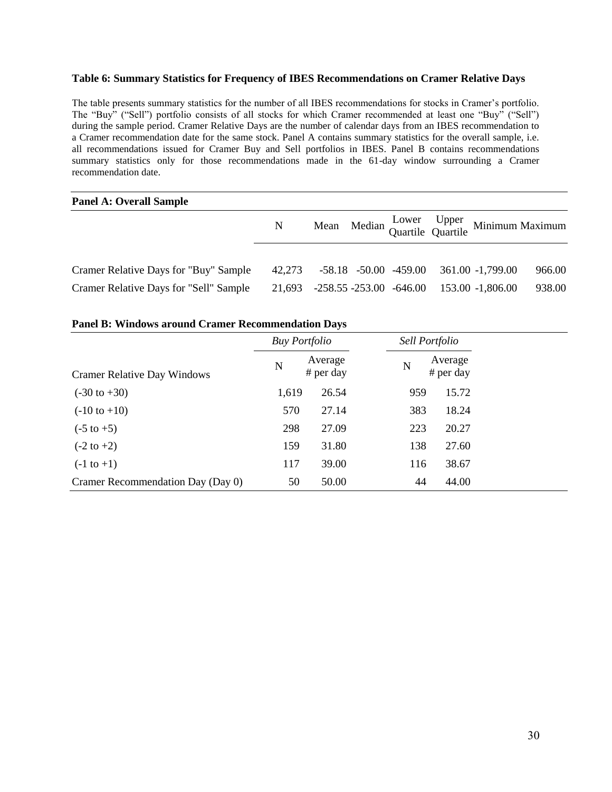#### **Table 6: Summary Statistics for Frequency of IBES Recommendations on Cramer Relative Days**

The table presents summary statistics for the number of all IBES recommendations for stocks in Cramer's portfolio. The "Buy" ("Sell") portfolio consists of all stocks for which Cramer recommended at least one "Buy" ("Sell") during the sample period. Cramer Relative Days are the number of calendar days from an IBES recommendation to a Cramer recommendation date for the same stock. Panel A contains summary statistics for the overall sample, i.e. all recommendations issued for Cramer Buy and Sell portfolios in IBES. Panel B contains recommendations summary statistics only for those recommendations made in the 61-day window surrounding a Cramer recommendation date.

#### **Panel A: Overall Sample**

|                                        | N |  |  |                                                 | Mean Median Cower Upper<br>Quartile Quartile Minimum Maximum |
|----------------------------------------|---|--|--|-------------------------------------------------|--------------------------------------------------------------|
| Cramer Relative Days for "Buy" Sample  |   |  |  | 42,273 -58.18 -50.00 -459.00 361.00 -1,799.00   | 966.00                                                       |
| Cramer Relative Days for "Sell" Sample |   |  |  | 21,693 -258.55 -253.00 -646.00 153.00 -1,806.00 | 938.00                                                       |

#### **Panel B: Windows around Cramer Recommendation Days**

|                                    | <b>Buy Portfolio</b> |                        | Sell Portfolio |                        |
|------------------------------------|----------------------|------------------------|----------------|------------------------|
| <b>Cramer Relative Day Windows</b> | N                    | Average<br>$#$ per day | $\mathbf N$    | Average<br>$#$ per day |
| $(-30 \text{ to } +30)$            | 1,619                | 26.54                  | 959            | 15.72                  |
| $(-10 \text{ to } +10)$            | 570                  | 27.14                  | 383            | 18.24                  |
| $(-5 \text{ to } +5)$              | 298                  | 27.09                  | 223            | 20.27                  |
| $(-2 \text{ to } +2)$              | 159                  | 31.80                  | 138            | 27.60                  |
| $(-1 \text{ to } +1)$              | 117                  | 39.00                  | 116            | 38.67                  |
| Cramer Recommendation Day (Day 0)  | 50                   | 50.00                  | 44             | 44.00                  |